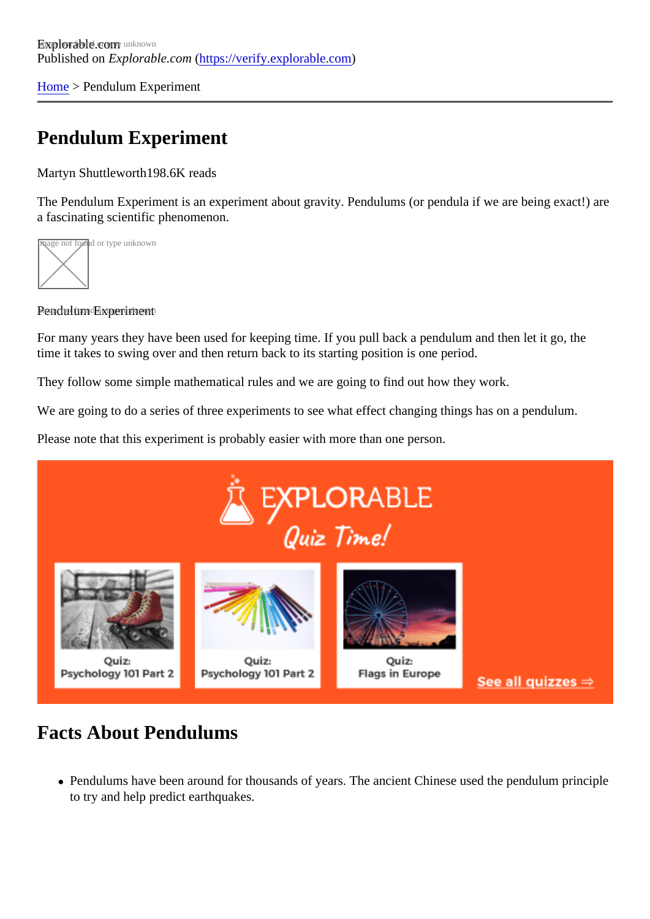[Home](https://verify.explorable.com/)> Pendulum Experiment

## Pendulum Experiment

Martyn Shuttleworth98.6K reads

The Pendulum Experiment is an experiment about gravity. Pendulums (or pendula if we are being exact!) a fascinating scientific phenomenon.

age not found or type unknown



Pendulum Experiment

For many years they have been used for keeping time. If you pull back a pendulum and then let it go, the time it takes to swing over and then return back to its starting position is one period.

They follow some simple mathematical rules and we are going to find out how they work.

We are going to do a series of three experiments to see what effect changing things has on a pendulum.

Please note that this experiment is probably easier with more than one person.

#### Facts About Pendulums

• Pendulums have been around for thousands of years. The ancient Chinese used the pendulum princ to try and help predict earthquakes.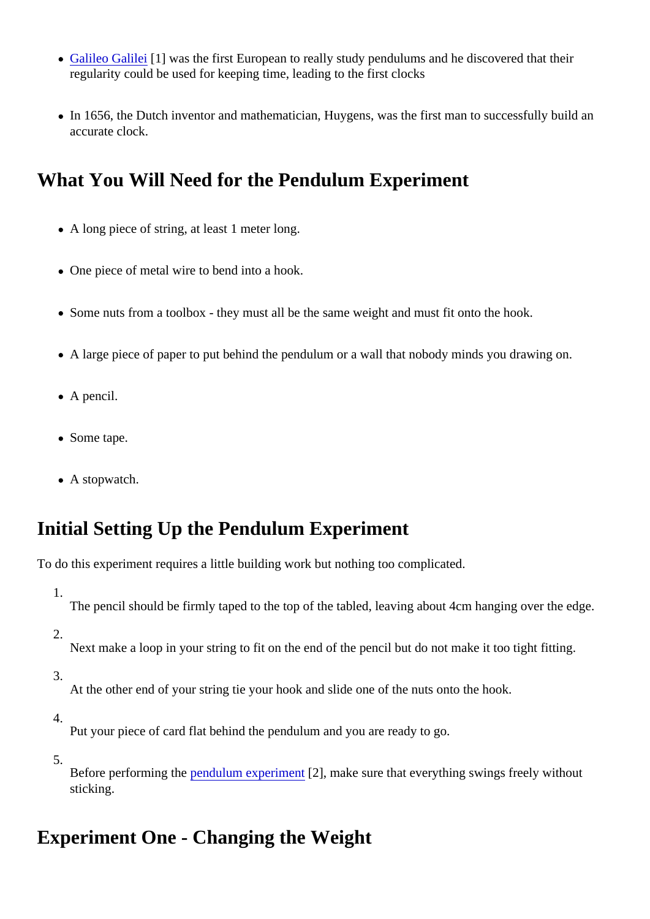- [Galileo Galile](https://verify.explorable.com/galileo-galilei)i[1] was the first European to really study pendulums and he discovered that their regularity could be used for keeping time, leading to the first clocks
- In 1656, the Dutch inventor and mathematician, Huygens, was the first man to successfully build an accurate clock.

## What You Will Need for the Pendulum Experiment

- A long piece of string, at least 1 meter long.
- One piece of metal wire to bend into a hook.
- Some nuts from a toolbox they must all be the same weight and must fit onto the hook.
- A large piece of paper to put behind the pendulum or a wall that nobody minds you drawing on.
- A pencil.
- Some tape.
- A stopwatch.

## Initial Setting Up the Pendulum Experiment

To do this experiment requires a little building work but nothing too complicated.

- 1. The pencil should be firmly taped to the top of the tabled, leaving about 4cm hanging over the edge.
- 2.

Next make a loop in your string to fit on the end of the pencil but do not make it too tight fitting.

3.

At the other end of your string tie your hook and slide one of the nuts onto the hook.

4.

Put your piece of card flat behind the pendulum and you are ready to go.

5.

Before performing the endulum experiment<sup>[2]</sup>, make sure that everything swings freely without sticking.

## Experiment One - Changing the Weight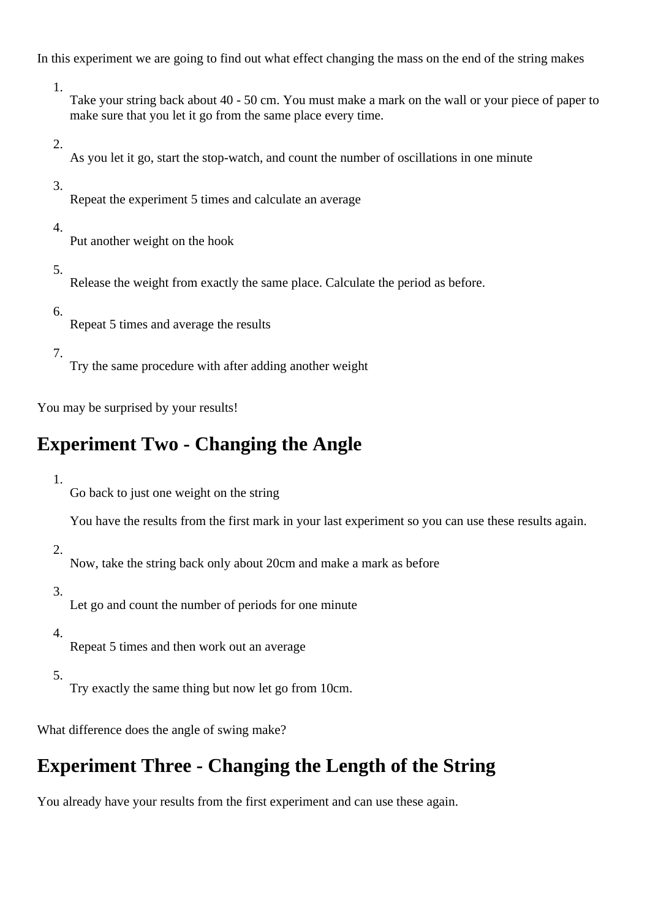In this experiment we are going to find out what effect changing the mass on the end of the string makes

1.

Take your string back about 40 - 50 cm. You must make a mark on the wall or your piece of paper to make sure that you let it go from the same place every time.

2.

As you let it go, start the stop-watch, and count the number of oscillations in one minute

3.

Repeat the experiment 5 times and calculate an average

4.

Put another weight on the hook

5.

Release the weight from exactly the same place. Calculate the period as before.

6.

Repeat 5 times and average the results

7.

Try the same procedure with after adding another weight

You may be surprised by your results!

# **Experiment Two - Changing the Angle**

1.

Go back to just one weight on the string

You have the results from the first mark in your last experiment so you can use these results again.

2.

Now, take the string back only about 20cm and make a mark as before

3.

Let go and count the number of periods for one minute

4.

Repeat 5 times and then work out an average

5.

Try exactly the same thing but now let go from 10cm.

What difference does the angle of swing make?

# **Experiment Three - Changing the Length of the String**

You already have your results from the first experiment and can use these again.